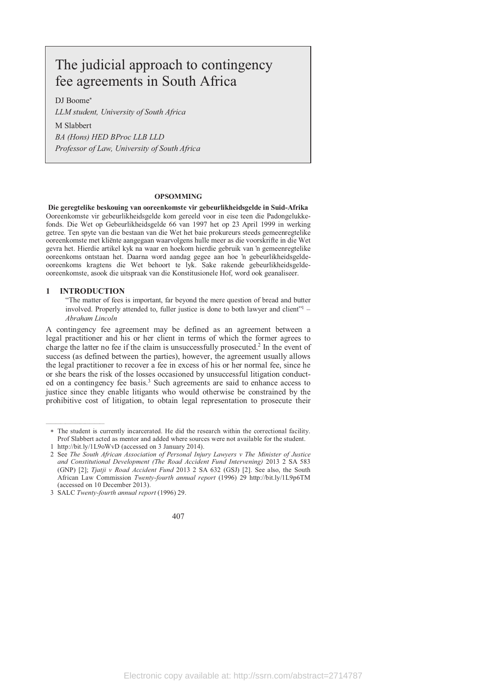# The judicial approach to contingency fee agreements in South Africa

DJ Boome

*LLM student, University of South Africa* 

M Slabbert

*BA (Hons) HED BProc LLB LLD Professor of Law, University of South Africa*

#### **OPSOMMING**

**Die geregtelike beskouing van ooreenkomste vir gebeurlikheidsgelde in Suid-Afrika**  Ooreenkomste vir gebeurlikheidsgelde kom gereeld voor in eise teen die Padongelukkefonds. Die Wet op Gebeurlikheidsgelde 66 van 1997 het op 23 April 1999 in werking getree. Ten spyte van die bestaan van die Wet het baie prokureurs steeds gemeenregtelike ooreenkomste met kliënte aangegaan waarvolgens hulle meer as die voorskrifte in die Wet gevra het. Hierdie artikel kyk na waar en hoekom hierdie gebruik van 'n gemeenregtelike ooreenkoms ontstaan het. Daarna word aandag gegee aan hoe 'n gebeurlikheidsgeldeooreenkoms kragtens die Wet behoort te lyk. Sake rakende gebeurlikheidsgeldeooreenkomste, asook die uitspraak van die Konstitusionele Hof, word ook geanaliseer.

#### **1 INTRODUCTION**

"The matter of fees is important, far beyond the mere question of bread and butter involved. Properly attended to, fuller justice is done to both lawyer and client" $1 -$ *Abraham Lincoln*

A contingency fee agreement may be defined as an agreement between a legal practitioner and his or her client in terms of which the former agrees to charge the latter no fee if the claim is unsuccessfully prosecuted.<sup>2</sup> In the event of success (as defined between the parties), however, the agreement usually allows the legal practitioner to recover a fee in excess of his or her normal fee, since he or she bears the risk of the losses occasioned by unsuccessful litigation conducted on a contingency fee basis.<sup>3</sup> Such agreements are said to enhance access to justice since they enable litigants who would otherwise be constrained by the prohibitive cost of litigation, to obtain legal representation to prosecute their

The student is currently incarcerated. He did the research within the correctional facility. Prof Slabbert acted as mentor and added where sources were not available for the student.

 <sup>1</sup> http://bit.ly/1L9oWvD (accessed on 3 January 2014).

 <sup>2</sup> See *The South African Association of Personal Injury Lawyers v The Minister of Justice and Constitutional Development (The Road Accident Fund Intervening)* 2013 2 SA 583 (GNP) [2]; *Tjatji v Road Accident Fund* 2013 2 SA 632 (GSJ) [2]. See also, the South African Law Commission *Twenty-fourth annual report* (1996) 29 http://bit.ly/1L9p6TM (accessed on 10 December 2013).

 <sup>3</sup> SALC *Twenty-fourth annual report* (1996) 29.

<sup>407</sup>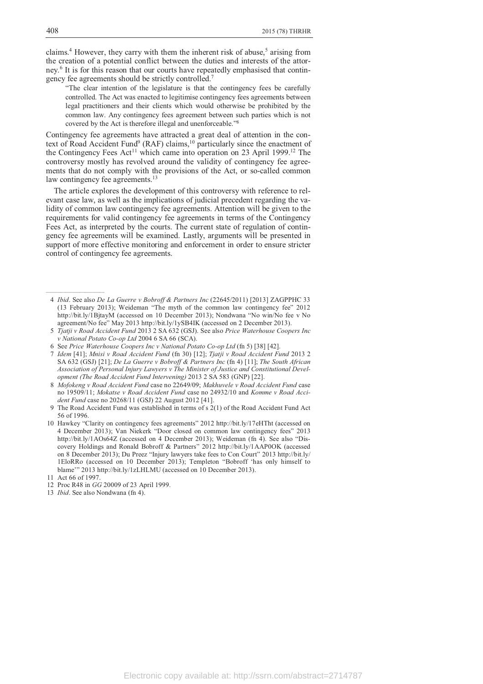claims.<sup>4</sup> However, they carry with them the inherent risk of abuse,<sup>5</sup> arising from the creation of a potential conflict between the duties and interests of the attorney.<sup>6</sup> It is for this reason that our courts have repeatedly emphasised that contingency fee agreements should be strictly controlled.<sup>7</sup>

"The clear intention of the legislature is that the contingency fees be carefully controlled. The Act was enacted to legitimise contingency fees agreements between legal practitioners and their clients which would otherwise be prohibited by the common law. Any contingency fees agreement between such parties which is not covered by the Act is therefore illegal and unenforceable."<sup>8</sup>

Contingency fee agreements have attracted a great deal of attention in the context of Road Accident Fund<sup>9</sup> (RAF) claims,<sup>10</sup> particularly since the enactment of the Contingency Fees Act<sup>11</sup> which came into operation on 23 April 1999.<sup>12</sup> The controversy mostly has revolved around the validity of contingency fee agreements that do not comply with the provisions of the Act, or so-called common law contingency fee agreements.<sup>13</sup>

The article explores the development of this controversy with reference to relevant case law, as well as the implications of judicial precedent regarding the validity of common law contingency fee agreements. Attention will be given to the requirements for valid contingency fee agreements in terms of the Contingency Fees Act, as interpreted by the courts. The current state of regulation of contingency fee agreements will be examined. Lastly, arguments will be presented in support of more effective monitoring and enforcement in order to ensure stricter control of contingency fee agreements.

- 4 *Ibid*. See also *De La Guerre v Bobroff & Partners Inc* (22645/2011) [2013] ZAGPPHC 33 (13 February 2013); Weideman "The myth of the common law contingency fee" 2012 http://bit.ly/1BjtayM (accessed on 10 December 2013); Nondwana "No win/No fee v No agreement/No fee" May 2013 http://bit.ly/1ySB4IK (accessed on 2 December 2013).
- 5 *Tjatji v Road Accident Fund* 2013 2 SA 632 (GSJ). See also *Price Waterhouse Coopers Inc v National Potato Co-op Ltd* 2004 6 SA 66 (SCA).
- 6 See *Price Waterhouse Coopers Inc v National Potato Co-op Ltd* (fn 5) [38] [42].
- 7 *Idem* [41]; *Mnisi v Road Accident Fund* (fn 30) [12]; *Tjatji v Road Accident Fund* 2013 2 SA 632 (GSJ) [21]; *De La Guerre v Bobroff & Partners Inc* (fn 4) [11]; *The South African Association of Personal Injury Lawyers v The Minister of Justice and Constitutional Development (The Road Accident Fund Intervening)* 2013 2 SA 583 (GNP) [22].
- 8 *Mofokeng v Road Accident Fund* case no 22649/09; *Makhuvele v Road Accident Fund* case no 19509/11; *Mokatse v Road Accident Fund* case no 24932/10 and *Komme v Road Accident Fund* case no 20268/11 (GSJ) 22 August 2012 [41].
- 9 The Road Accident Fund was established in terms of s 2(1) of the Road Accident Fund Act 56 of 1996.
- 10 Hawkey "Clarity on contingency fees agreements" 2012 http://bit.ly/17eHTht (accessed on 4 December 2013); Van Niekerk "Door closed on common law contingency fees" 2013 http://bit.ly/1AOs64Z (accessed on 4 December 2013); Weideman (fn 4). See also "Discovery Holdings and Ronald Bobroff & Partners" 2012 http://bit.ly/1AAP0OK (accessed on 8 December 2013); Du Preez "Injury lawyers take fees to Con Court" 2013 http://bit.ly/ 1EloRRo (accessed on 10 December 2013); Templeton "Bobroff 'has only himself to blame'" 2013 http://bit.ly/1zLHLMU (accessed on 10 December 2013).
- 11 Act 66 of 1997.

- 12 Proc R48 in *GG* 20009 of 23 April 1999.
- 13 *Ibid*. See also Nondwana (fn 4).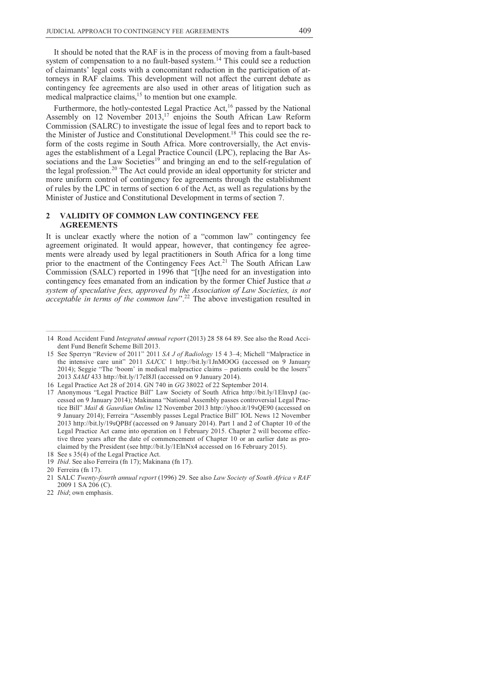It should be noted that the RAF is in the process of moving from a fault-based system of compensation to a no fault-based system.<sup>14</sup> This could see a reduction of claimants' legal costs with a concomitant reduction in the participation of attorneys in RAF claims. This development will not affect the current debate as contingency fee agreements are also used in other areas of litigation such as medical malpractice claims,<sup>15</sup> to mention but one example.

Furthermore, the hotly-contested Legal Practice Act,<sup>16</sup> passed by the National Assembly on 12 November 2013,<sup>17</sup> enjoins the South African Law Reform Commission (SALRC) to investigate the issue of legal fees and to report back to the Minister of Justice and Constitutional Development.<sup>18</sup> This could see the reform of the costs regime in South Africa. More controversially, the Act envisages the establishment of a Legal Practice Council (LPC), replacing the Bar Associations and the Law Societies<sup>19</sup> and bringing an end to the self-regulation of the legal profession.<sup>20</sup> The Act could provide an ideal opportunity for stricter and more uniform control of contingency fee agreements through the establishment of rules by the LPC in terms of section 6 of the Act, as well as regulations by the Minister of Justice and Constitutional Development in terms of section 7.

### **2 VALIDITY OF COMMON LAW CONTINGENCY FEE AGREEMENTS**

It is unclear exactly where the notion of a "common law" contingency fee agreement originated. It would appear, however, that contingency fee agreements were already used by legal practitioners in South Africa for a long time prior to the enactment of the Contingency Fees Act.<sup>21</sup> The South African Law Commission (SALC) reported in 1996 that "[t]he need for an investigation into contingency fees emanated from an indication by the former Chief Justice that *a system of speculative fees, approved by the Association of Law Societies, is not acceptable in terms of the common law*".<sup>22</sup> The above investigation resulted in

 <sup>14</sup> Road Accident Fund *Integrated annual report* (2013) 28 58 64 89. See also the Road Accident Fund Benefit Scheme Bill 2013.

 <sup>15</sup> See Sperryn "Review of 2011" 2011 *SA J of Radiology* 15 4 3–4; Michell "Malpractice in the intensive care unit" 2011 *SAJCC* 1 http://bit.ly/1JnMOOG (accessed on 9 January 2014); Seggie "The 'boom' in medical malpractice claims – patients could be the losers" 2013 *SAMJ* 433 http://bit.ly/17eI8Jl (accessed on 9 January 2014).

 <sup>16</sup> Legal Practice Act 28 of 2014. GN 740 in *GG* 38022 of 22 September 2014.

 <sup>17</sup> Anonymous "Legal Practice Bill" Law Society of South Africa http://bit.ly/1ElnvpJ (accessed on 9 January 2014); Makinana "National Assembly passes controversial Legal Practice Bill" *Mail & Gaurdian Online* 12 November 2013 http://yhoo.it/19sQE90 (accessed on 9 January 2014); Ferreira "Assembly passes Legal Practice Bill" IOL News 12 November 2013 http://bit.ly/19sQPBf (accessed on 9 January 2014). Part 1 and 2 of Chapter 10 of the Legal Practice Act came into operation on 1 February 2015. Chapter 2 will become effective three years after the date of commencement of Chapter 10 or an earlier date as proclaimed by the President (see http://bit.ly/1ElnNx4 accessed on 16 February 2015).

 <sup>18</sup> See s 35(4) of the Legal Practice Act.

 <sup>19</sup> *Ibid*. See also Ferreira (fn 17); Makinana (fn 17).

 <sup>20</sup> Ferreira (fn 17).

 <sup>21</sup> SALC *Twenty-fourth annual report* (1996) 29. See also *Law Society of South Africa v RAF*  2009 1 SA 206 (C).

 <sup>22</sup> *Ibid*; own emphasis.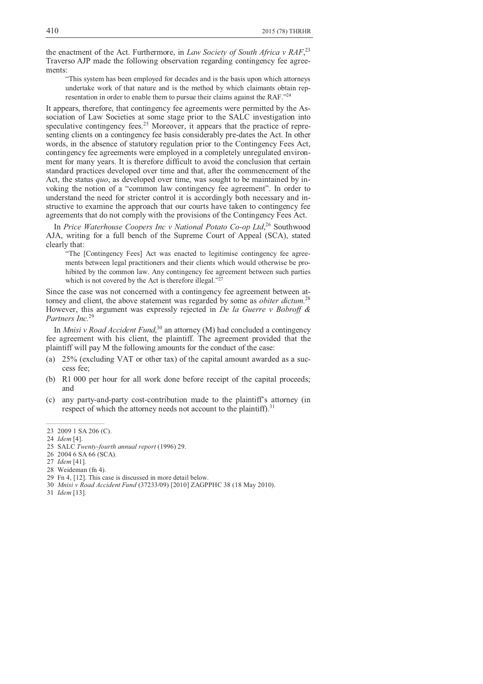the enactment of the Act. Furthermore, in *Law Society of South Africa v RAF*, 23 Traverso AJP made the following observation regarding contingency fee agreements:

"This system has been employed for decades and is the basis upon which attorneys undertake work of that nature and is the method by which claimants obtain representation in order to enable them to pursue their claims against the RAF."<sup>24</sup>

It appears, therefore, that contingency fee agreements were permitted by the Association of Law Societies at some stage prior to the SALC investigation into speculative contingency fees.<sup>25</sup> Moreover, it appears that the practice of representing clients on a contingency fee basis considerably pre-dates the Act. In other words, in the absence of statutory regulation prior to the Contingency Fees Act, contingency fee agreements were employed in a completely unregulated environment for many years. It is therefore difficult to avoid the conclusion that certain standard practices developed over time and that, after the commencement of the Act, the status *quo*, as developed over time, was sought to be maintained by invoking the notion of a "common law contingency fee agreement". In order to understand the need for stricter control it is accordingly both necessary and instructive to examine the approach that our courts have taken to contingency fee agreements that do not comply with the provisions of the Contingency Fees Act.

In *Price Waterhouse Coopers Inc v National Potato Co-op Ltd*, <sup>26</sup> Southwood AJA, writing for a full bench of the Supreme Court of Appeal (SCA), stated clearly that:

"The [Contingency Fees] Act was enacted to legitimise contingency fee agreements between legal practitioners and their clients which would otherwise be prohibited by the common law. Any contingency fee agreement between such parties which is not covered by the Act is therefore illegal."<sup>27</sup>

Since the case was not concerned with a contingency fee agreement between attorney and client, the above statement was regarded by some as *obiter dictum.*<sup>28</sup> However, this argument was expressly rejected in *De la Guerre v Bobroff & Partners Inc.*<sup>29</sup>

In *Mnisi v Road Accident Fund*, <sup>30</sup> an attorney (M) had concluded a contingency fee agreement with his client, the plaintiff. The agreement provided that the plaintiff will pay M the following amounts for the conduct of the case:

- (a) 25% (excluding VAT or other tax) of the capital amount awarded as a success fee;
- (b) R1 000 per hour for all work done before receipt of the capital proceeds; and
- (c) any party-and-party cost-contribution made to the plaintiff's attorney (in respect of which the attorney needs not account to the plaintiff).<sup>31</sup>

 <sup>23 2009 1</sup> SA 206 (C).

 <sup>24</sup> *Idem* [4].

 <sup>25</sup> SALC *Twenty-fourth annual report* (1996) 29.

 <sup>26 2004 6</sup> SA 66 (SCA).

 <sup>27</sup> *Idem* [41].

 <sup>28</sup> Weideman (fn 4).

 <sup>29</sup> Fn 4, [12]. This case is discussed in more detail below.

 <sup>30</sup> *Mnisi v Road Accident Fund* (37233/09) [2010] ZAGPPHC 38 (18 May 2010).

 <sup>31</sup> *Idem* [13].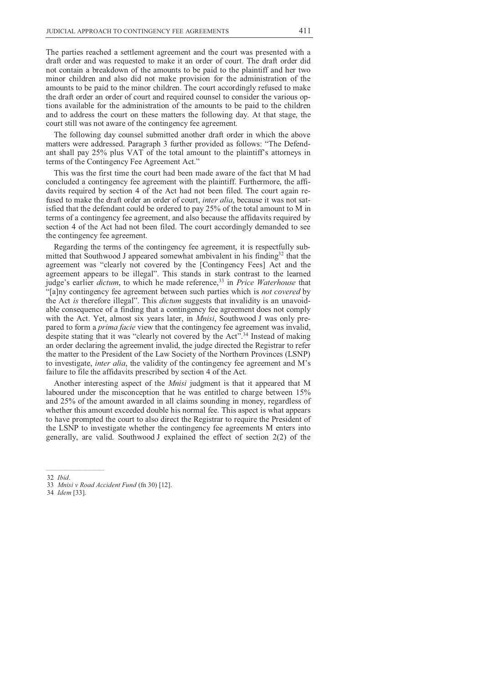The parties reached a settlement agreement and the court was presented with a draft order and was requested to make it an order of court. The draft order did not contain a breakdown of the amounts to be paid to the plaintiff and her two minor children and also did not make provision for the administration of the amounts to be paid to the minor children. The court accordingly refused to make the draft order an order of court and required counsel to consider the various options available for the administration of the amounts to be paid to the children and to address the court on these matters the following day. At that stage, the court still was not aware of the contingency fee agreement.

The following day counsel submitted another draft order in which the above matters were addressed. Paragraph 3 further provided as follows: "The Defendant shall pay 25% plus VAT of the total amount to the plaintiff's attorneys in terms of the Contingency Fee Agreement Act."

This was the first time the court had been made aware of the fact that M had concluded a contingency fee agreement with the plaintiff. Furthermore, the affidavits required by section 4 of the Act had not been filed. The court again refused to make the draft order an order of court, *inter alia*, because it was not satisfied that the defendant could be ordered to pay 25% of the total amount to M in terms of a contingency fee agreement, and also because the affidavits required by section 4 of the Act had not been filed. The court accordingly demanded to see the contingency fee agreement.

Regarding the terms of the contingency fee agreement, it is respectfully submitted that Southwood J appeared somewhat ambivalent in his finding<sup>32</sup> that the agreement was "clearly not covered by the [Contingency Fees] Act and the agreement appears to be illegal". This stands in stark contrast to the learned judge's earlier *dictum*, to which he made reference,<sup>33</sup> in *Price Waterhouse* that "[a]ny contingency fee agreement between such parties which is *not covered* by the Act *is* therefore illegal". This *dictum* suggests that invalidity is an unavoidable consequence of a finding that a contingency fee agreement does not comply with the Act. Yet, almost six years later, in *Mnisi*, Southwood J was only prepared to form a *prima facie* view that the contingency fee agreement was invalid, despite stating that it was "clearly not covered by the Act".<sup>34</sup> Instead of making an order declaring the agreement invalid, the judge directed the Registrar to refer the matter to the President of the Law Society of the Northern Provinces (LSNP) to investigate, *inter alia*, the validity of the contingency fee agreement and M's failure to file the affidavits prescribed by section 4 of the Act.

Another interesting aspect of the *Mnisi* judgment is that it appeared that M laboured under the misconception that he was entitled to charge between 15% and 25% of the amount awarded in all claims sounding in money, regardless of whether this amount exceeded double his normal fee. This aspect is what appears to have prompted the court to also direct the Registrar to require the President of the LSNP to investigate whether the contingency fee agreements M enters into generally, are valid. Southwood J explained the effect of section 2(2) of the

 <sup>32</sup> *Ibid*.

 <sup>33</sup> *Mnisi v Road Accident Fund* (fn 30) [12].

 <sup>34</sup> *Idem* [33].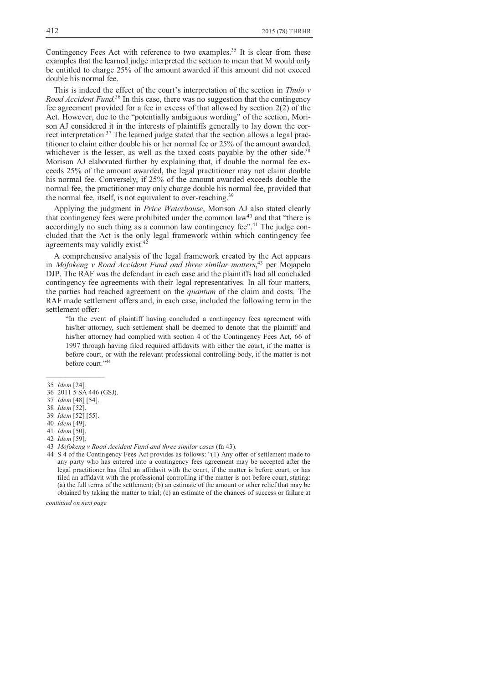Contingency Fees Act with reference to two examples.<sup>35</sup> It is clear from these examples that the learned judge interpreted the section to mean that M would only be entitled to charge 25% of the amount awarded if this amount did not exceed double his normal fee.

This is indeed the effect of the court's interpretation of the section in *Thulo v Road Accident Fund.*<sup>36</sup> In this case, there was no suggestion that the contingency fee agreement provided for a fee in excess of that allowed by section 2(2) of the Act. However, due to the "potentially ambiguous wording" of the section, Morison AJ considered it in the interests of plaintiffs generally to lay down the correct interpretation.<sup>37</sup> The learned judge stated that the section allows a legal practitioner to claim either double his or her normal fee or 25% of the amount awarded, whichever is the lesser, as well as the taxed costs payable by the other side.<sup>38</sup> Morison AJ elaborated further by explaining that, if double the normal fee exceeds 25% of the amount awarded, the legal practitioner may not claim double his normal fee. Conversely, if 25% of the amount awarded exceeds double the normal fee, the practitioner may only charge double his normal fee, provided that the normal fee, itself, is not equivalent to over-reaching.<sup>39</sup>

Applying the judgment in *Price Waterhouse*, Morison AJ also stated clearly that contingency fees were prohibited under the common law<sup>40</sup> and that "there is accordingly no such thing as a common law contingency fee".<sup>41</sup> The judge concluded that the Act is the only legal framework within which contingency fee agreements may validly exist.<sup>42</sup>

A comprehensive analysis of the legal framework created by the Act appears in *Mofokeng v Road Accident Fund and three similar matters*, <sup>43</sup> per Mojapelo DJP. The RAF was the defendant in each case and the plaintiffs had all concluded contingency fee agreements with their legal representatives. In all four matters, the parties had reached agreement on the *quantum* of the claim and costs. The RAF made settlement offers and, in each case, included the following term in the settlement offer:

"In the event of plaintiff having concluded a contingency fees agreement with his/her attorney, such settlement shall be deemed to denote that the plaintiff and his/her attorney had complied with section 4 of the Contingency Fees Act, 66 of 1997 through having filed required affidavits with either the court, if the matter is before court, or with the relevant professional controlling body, if the matter is not before court."<sup>44</sup>

 $\mathcal{L}_\text{max}$  and  $\mathcal{L}_\text{max}$  and  $\mathcal{L}_\text{max}$ 

*continued on next page* 

 <sup>35</sup> *Idem* [24].

 <sup>36 2011 5</sup> SA 446 (GSJ).

 <sup>37</sup> *Idem* [48] [54].

 <sup>38</sup> *Idem* [52].

 <sup>39</sup> *Idem* [52] [55].

 <sup>40</sup> *Idem* [49].

 <sup>41</sup> *Idem* [50].

 <sup>42</sup> *Idem* [59].

 <sup>43</sup> *Mofokeng v Road Accident Fund and three similar cases* (fn 43).

 <sup>44</sup> S 4 of the Contingency Fees Act provides as follows: "(1) Any offer of settlement made to any party who has entered into a contingency fees agreement may be accepted after the legal practitioner has filed an affidavit with the court, if the matter is before court, or has filed an affidavit with the professional controlling if the matter is not before court, stating: (a) the full terms of the settlement; (b) an estimate of the amount or other relief that may be obtained by taking the matter to trial; (c) an estimate of the chances of success or failure at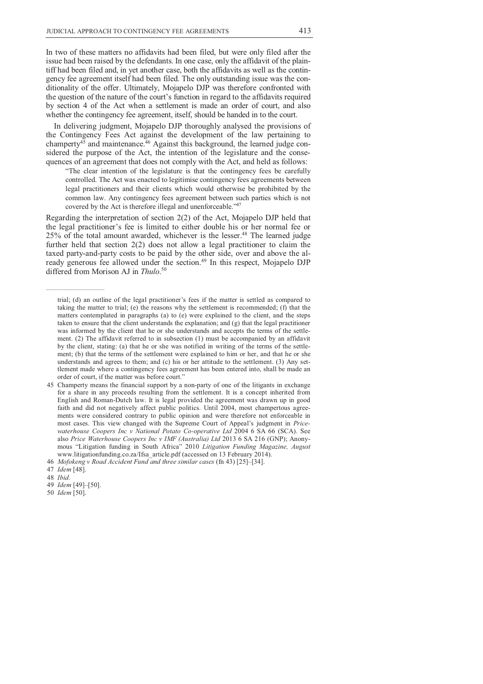In two of these matters no affidavits had been filed, but were only filed after the issue had been raised by the defendants. In one case, only the affidavit of the plaintiff had been filed and, in yet another case, both the affidavits as well as the contingency fee agreement itself had been filed. The only outstanding issue was the conditionality of the offer. Ultimately, Mojapelo DJP was therefore confronted with the question of the nature of the court's function in regard to the affidavits required by section 4 of the Act when a settlement is made an order of court, and also whether the contingency fee agreement, itself, should be handed in to the court.

In delivering judgment, Mojapelo DJP thoroughly analysed the provisions of the Contingency Fees Act against the development of the law pertaining to champerty $4^{\overline{5}}$  and maintenance. $4^{\overline{6}}$  Against this background, the learned judge considered the purpose of the Act, the intention of the legislature and the consequences of an agreement that does not comply with the Act, and held as follows:

"The clear intention of the legislature is that the contingency fees be carefully controlled. The Act was enacted to legitimise contingency fees agreements between legal practitioners and their clients which would otherwise be prohibited by the common law. Any contingency fees agreement between such parties which is not covered by the Act is therefore illegal and unenforceable."<sup>47</sup>

Regarding the interpretation of section 2(2) of the Act, Mojapelo DJP held that the legal practitioner's fee is limited to either double his or her normal fee or 25% of the total amount awarded, whichever is the lesser.<sup>48</sup> The learned judge further held that section 2(2) does not allow a legal practitioner to claim the taxed party-and-party costs to be paid by the other side, over and above the already generous fee allowed under the section.<sup>49</sup> In this respect, Mojapelo DJP differed from Morison AJ in *Thulo*. 50

 $\mathcal{L}_\text{max}$  and  $\mathcal{L}_\text{max}$  and  $\mathcal{L}_\text{max}$ 

50 *Idem* [50].

trial; (d) an outline of the legal practitioner's fees if the matter is settled as compared to taking the matter to trial; (e) the reasons why the settlement is recommended; (f) that the matters contemplated in paragraphs (a) to (e) were explained to the client, and the steps taken to ensure that the client understands the explanation; and (g) that the legal practitioner was informed by the client that he or she understands and accepts the terms of the settlement. (2) The affidavit referred to in subsection (1) must be accompanied by an affidavit by the client, stating: (a) that he or she was notified in writing of the terms of the settlement; (b) that the terms of the settlement were explained to him or her, and that he or she understands and agrees to them; and  $(c)$  his or her attitude to the settlement.  $(3)$  Any settlement made where a contingency fees agreement has been entered into, shall be made an order of court, if the matter was before court."

 <sup>45</sup> Champerty means the financial support by a non-party of one of the litigants in exchange for a share in any proceeds resulting from the settlement. It is a concept inherited from English and Roman-Dutch law. It is legal provided the agreement was drawn up in good faith and did not negatively affect public politics. Until 2004, most champertous agreements were considered contrary to public opinion and were therefore not enforceable in most cases. This view changed with the Supreme Court of Appeal's judgment in *Pricewaterhouse Coopers Inc v National Potato Co-operative Ltd* 2004 6 SA 66 (SCA). See also *Price Waterhouse Coopers Inc v IMF (Australia) Ltd* 2013 6 SA 216 (GNP); Anonymous "Litigation funding in South Africa" 2010 *Litigation Funding Magazine, August*  www.litigationfunding.co.za/Ifsa\_article.pdf (accessed on 13 February 2014).

 <sup>46</sup> *Mofokeng v Road Accident Fund and three similar cases* (fn 43) [25]–[34].

 <sup>47</sup> *Idem* [48].

 <sup>48</sup> *Ibid*.

 <sup>49</sup> *Idem* [49]–[50].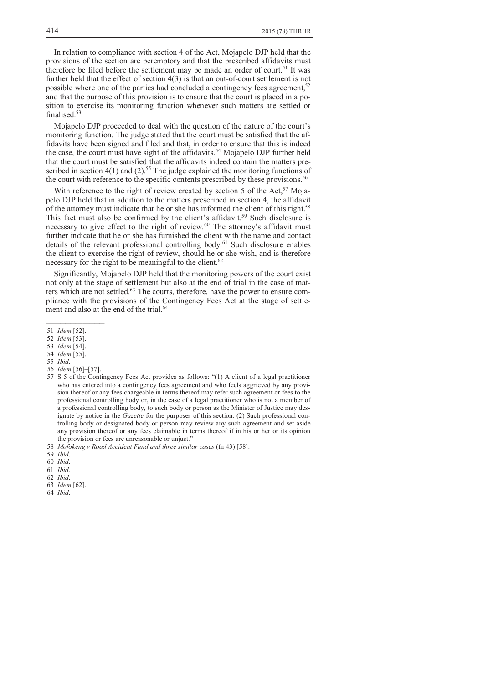In relation to compliance with section 4 of the Act, Mojapelo DJP held that the provisions of the section are peremptory and that the prescribed affidavits must therefore be filed before the settlement may be made an order of court.<sup>51</sup> It was further held that the effect of section 4(3) is that an out-of-court settlement is not possible where one of the parties had concluded a contingency fees agreement,  $52$ and that the purpose of this provision is to ensure that the court is placed in a position to exercise its monitoring function whenever such matters are settled or finalised.<sup>53</sup>

Mojapelo DJP proceeded to deal with the question of the nature of the court's monitoring function. The judge stated that the court must be satisfied that the affidavits have been signed and filed and that, in order to ensure that this is indeed the case, the court must have sight of the affidavits.<sup>54</sup> Mojapelo DJP further held that the court must be satisfied that the affidavits indeed contain the matters prescribed in section  $4(1)$  and  $(2)$ .<sup>55</sup> The judge explained the monitoring functions of the court with reference to the specific contents prescribed by these provisions.<sup>56</sup>

With reference to the right of review created by section 5 of the Act,  $57$  Mojapelo DJP held that in addition to the matters prescribed in section 4, the affidavit of the attorney must indicate that he or she has informed the client of this right.<sup>58</sup> This fact must also be confirmed by the client's affidavit.<sup>59</sup> Such disclosure is necessary to give effect to the right of review.<sup>60</sup> The attorney's affidavit must further indicate that he or she has furnished the client with the name and contact details of the relevant professional controlling body.<sup>61</sup> Such disclosure enables the client to exercise the right of review, should he or she wish, and is therefore necessary for the right to be meaningful to the client.<sup>62</sup>

Significantly, Mojapelo DJP held that the monitoring powers of the court exist not only at the stage of settlement but also at the end of trial in the case of matters which are not settled.<sup>63</sup> The courts, therefore, have the power to ensure compliance with the provisions of the Contingency Fees Act at the stage of settlement and also at the end of the trial.<sup>64</sup>

56 *Idem* [56]–[57].

 $\overline{\phantom{a}}$  ,  $\overline{\phantom{a}}$  ,  $\overline{\phantom{a}}$  ,  $\overline{\phantom{a}}$  ,  $\overline{\phantom{a}}$  ,  $\overline{\phantom{a}}$  ,  $\overline{\phantom{a}}$  ,  $\overline{\phantom{a}}$  ,  $\overline{\phantom{a}}$  ,  $\overline{\phantom{a}}$  ,  $\overline{\phantom{a}}$  ,  $\overline{\phantom{a}}$  ,  $\overline{\phantom{a}}$  ,  $\overline{\phantom{a}}$  ,  $\overline{\phantom{a}}$  ,  $\overline{\phantom{a}}$ 

61 *Ibid*.

62 *Ibid*.

- 63 *Idem* [62].
- 64 *Ibid*.

 <sup>51</sup> *Idem* [52].

 <sup>52</sup> *Idem* [53].

 <sup>53</sup> *Idem* [54].

 <sup>54</sup> *Idem* [55].

 <sup>55</sup> *Ibid*.

 <sup>57</sup> S 5 of the Contingency Fees Act provides as follows: "(1) A client of a legal practitioner who has entered into a contingency fees agreement and who feels aggrieved by any provision thereof or any fees chargeable in terms thereof may refer such agreement or fees to the professional controlling body or, in the case of a legal practitioner who is not a member of a professional controlling body, to such body or person as the Minister of Justice may designate by notice in the *Gazette* for the purposes of this section. (2) Such professional controlling body or designated body or person may review any such agreement and set aside any provision thereof or any fees claimable in terms thereof if in his or her or its opinion the provision or fees are unreasonable or unjust."

 <sup>58</sup> *Mofokeng v Road Accident Fund and three similar cases* (fn 43) [58].

 <sup>59</sup> *Ibid*.

 <sup>60</sup> *Ibid*.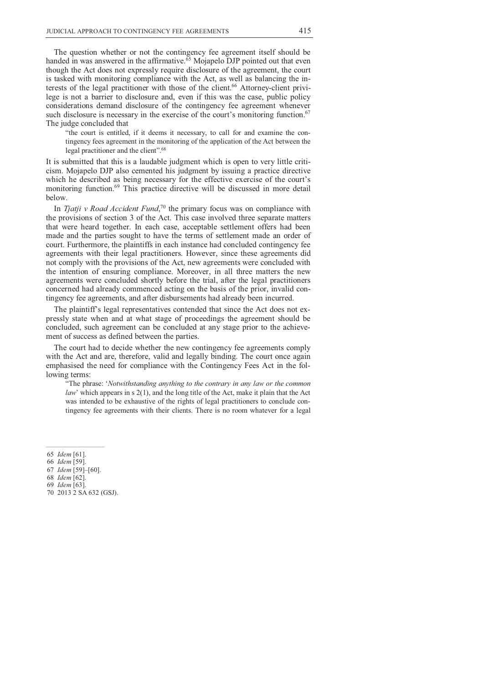The question whether or not the contingency fee agreement itself should be handed in was answered in the affirmative. $65$  Mojapelo DJP pointed out that even though the Act does not expressly require disclosure of the agreement, the court is tasked with monitoring compliance with the Act, as well as balancing the interests of the legal practitioner with those of the client.<sup>66</sup> Attorney-client privilege is not a barrier to disclosure and, even if this was the case, public policy considerations demand disclosure of the contingency fee agreement whenever such disclosure is necessary in the exercise of the court's monitoring function.<sup>67</sup> The judge concluded that

"the court is entitled, if it deems it necessary, to call for and examine the contingency fees agreement in the monitoring of the application of the Act between the legal practitioner and the client".<sup>68</sup>

It is submitted that this is a laudable judgment which is open to very little criticism. Mojapelo DJP also cemented his judgment by issuing a practice directive which he described as being necessary for the effective exercise of the court's monitoring function.<sup>69</sup> This practice directive will be discussed in more detail below.

In *Tjatji v Road Accident Fund*,<sup>70</sup> the primary focus was on compliance with the provisions of section 3 of the Act. This case involved three separate matters that were heard together. In each case, acceptable settlement offers had been made and the parties sought to have the terms of settlement made an order of court. Furthermore, the plaintiffs in each instance had concluded contingency fee agreements with their legal practitioners. However, since these agreements did not comply with the provisions of the Act, new agreements were concluded with the intention of ensuring compliance. Moreover, in all three matters the new agreements were concluded shortly before the trial, after the legal practitioners concerned had already commenced acting on the basis of the prior, invalid contingency fee agreements, and after disbursements had already been incurred.

The plaintiff's legal representatives contended that since the Act does not expressly state when and at what stage of proceedings the agreement should be concluded, such agreement can be concluded at any stage prior to the achievement of success as defined between the parties.

The court had to decide whether the new contingency fee agreements comply with the Act and are, therefore, valid and legally binding. The court once again emphasised the need for compliance with the Contingency Fees Act in the following terms:

"The phrase: '*Notwithstanding anything to the contrary in any law or the common law*' which appears in s 2(1), and the long title of the Act, make it plain that the Act was intended to be exhaustive of the rights of legal practitioners to conclude contingency fee agreements with their clients. There is no room whatever for a legal

67 *Idem* [59]–[60].

- 68 *Idem* [62]. 69 *Idem* [63].
- 70 2013 2 SA 632 (GSJ).

 <sup>65</sup> *Idem* [61].

 <sup>66</sup> *Idem* [59].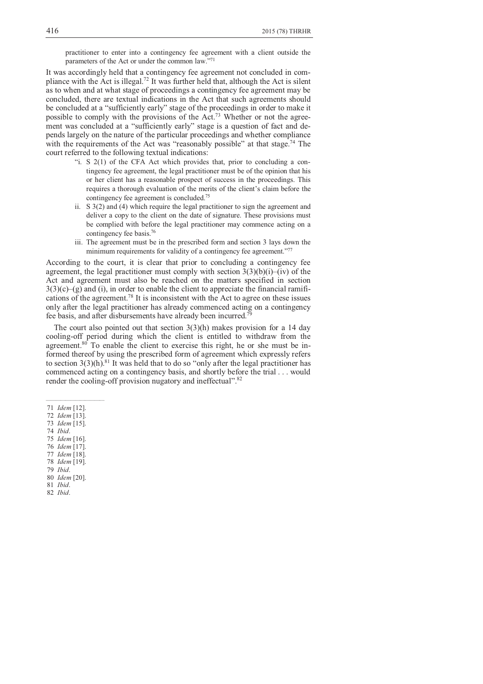practitioner to enter into a contingency fee agreement with a client outside the parameters of the Act or under the common law."<sup>71</sup>

It was accordingly held that a contingency fee agreement not concluded in compliance with the Act is illegal.<sup>72</sup> It was further held that, although the Act is silent as to when and at what stage of proceedings a contingency fee agreement may be concluded, there are textual indications in the Act that such agreements should be concluded at a "sufficiently early" stage of the proceedings in order to make it possible to comply with the provisions of the Act.73 Whether or not the agreement was concluded at a "sufficiently early" stage is a question of fact and depends largely on the nature of the particular proceedings and whether compliance with the requirements of the Act was "reasonably possible" at that stage.<sup>74</sup> The court referred to the following textual indications:

- "i. S 2(1) of the CFA Act which provides that, prior to concluding a contingency fee agreement, the legal practitioner must be of the opinion that his or her client has a reasonable prospect of success in the proceedings. This requires a thorough evaluation of the merits of the client's claim before the contingency fee agreement is concluded.<sup>75</sup>
- ii. S 3(2) and (4) which require the legal practitioner to sign the agreement and deliver a copy to the client on the date of signature. These provisions must be complied with before the legal practitioner may commence acting on a contingency fee basis.<sup>76</sup>
- iii. The agreement must be in the prescribed form and section 3 lays down the minimum requirements for validity of a contingency fee agreement."77

According to the court, it is clear that prior to concluding a contingency fee agreement, the legal practitioner must comply with section  $3(3)(b)(i)$ –(iv) of the Act and agreement must also be reached on the matters specified in section  $3(3)(c)-(g)$  and (i), in order to enable the client to appreciate the financial ramifications of the agreement.<sup>78</sup> It is inconsistent with the Act to agree on these issues only after the legal practitioner has already commenced acting on a contingency fee basis, and after disbursements have already been incurred.<sup>7</sup>

The court also pointed out that section  $3(3)(h)$  makes provision for a 14 day cooling-off period during which the client is entitled to withdraw from the agreement. $80$  To enable the client to exercise this right, he or she must be informed thereof by using the prescribed form of agreement which expressly refers to section  $3(3)(h)$ .<sup>81</sup> It was held that to do so "only after the legal practitioner has commenced acting on a contingency basis, and shortly before the trial . . . would render the cooling-off provision nugatory and ineffectual".<sup>82</sup>

- 73 *Idem* [15].
- 74 *Ibid*.
- 75 *Idem* [16]. 76 *Idem* [17].
- 77 *Idem* [18].
- 78 *Idem* [19].
- 79 *Ibid*.
- 80 *Idem* [20].
- 81 *Ibid*.
- 82 *Ibid*.

 <sup>71</sup> *Idem* [12].

 <sup>72</sup> *Idem* [13].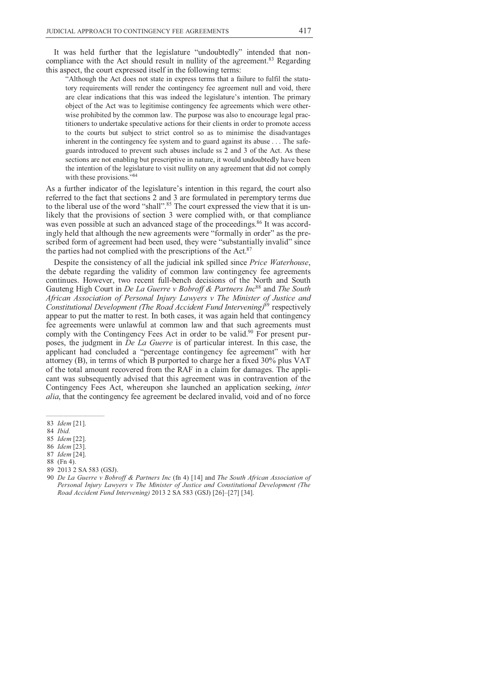It was held further that the legislature "undoubtedly" intended that noncompliance with the Act should result in nullity of the agreement.<sup>83</sup> Regarding this aspect, the court expressed itself in the following terms:

"Although the Act does not state in express terms that a failure to fulfil the statutory requirements will render the contingency fee agreement null and void, there are clear indications that this was indeed the legislature's intention. The primary object of the Act was to legitimise contingency fee agreements which were otherwise prohibited by the common law. The purpose was also to encourage legal practitioners to undertake speculative actions for their clients in order to promote access to the courts but subject to strict control so as to minimise the disadvantages inherent in the contingency fee system and to guard against its abuse . . . The safeguards introduced to prevent such abuses include ss 2 and 3 of the Act. As these sections are not enabling but prescriptive in nature, it would undoubtedly have been the intention of the legislature to visit nullity on any agreement that did not comply with these provisions."84

As a further indicator of the legislature's intention in this regard, the court also referred to the fact that sections 2 and 3 are formulated in peremptory terms due to the liberal use of the word "shall".<sup>85</sup> The court expressed the view that it is unlikely that the provisions of section 3 were complied with, or that compliance was even possible at such an advanced stage of the proceedings.<sup>86</sup> It was accordingly held that although the new agreements were "formally in order" as the prescribed form of agreement had been used, they were "substantially invalid" since the parties had not complied with the prescriptions of the Act.<sup>87</sup>

Despite the consistency of all the judicial ink spilled since *Price Waterhouse*, the debate regarding the validity of common law contingency fee agreements continues. However, two recent full-bench decisions of the North and South Gauteng High Court in *De La Guerre v Bobroff & Partners Inc*<sup>88</sup> and *The South African Association of Personal Injury Lawyers v The Minister of Justice and Constitutional Development (The Road Accident Fund Intervening)*<sup>89</sup> respectively appear to put the matter to rest. In both cases, it was again held that contingency fee agreements were unlawful at common law and that such agreements must comply with the Contingency Fees Act in order to be valid.<sup>90</sup> For present purposes, the judgment in *De La Guerre* is of particular interest. In this case, the applicant had concluded a "percentage contingency fee agreement" with her attorney (B), in terms of which B purported to charge her a fixed 30% plus VAT of the total amount recovered from the RAF in a claim for damages. The applicant was subsequently advised that this agreement was in contravention of the Contingency Fees Act, whereupon she launched an application seeking, *inter alia*, that the contingency fee agreement be declared invalid, void and of no force

- 
- 88 (Fn 4).
- 89 2013 2 SA 583 (GSJ).
- 90 *De La Guerre v Bobroff & Partners Inc* (fn 4) [14] and *The South African Association of Personal Injury Lawyers v The Minister of Justice and Constitutional Development (The Road Accident Fund Intervening)* 2013 2 SA 583 (GSJ) [26]–[27] [34].

 <sup>83</sup> *Idem* [21].

 <sup>84</sup> *Ibid.*

 <sup>85</sup> *Idem* [22].

 <sup>86</sup> *Idem* [23]. 87 *Idem* [24].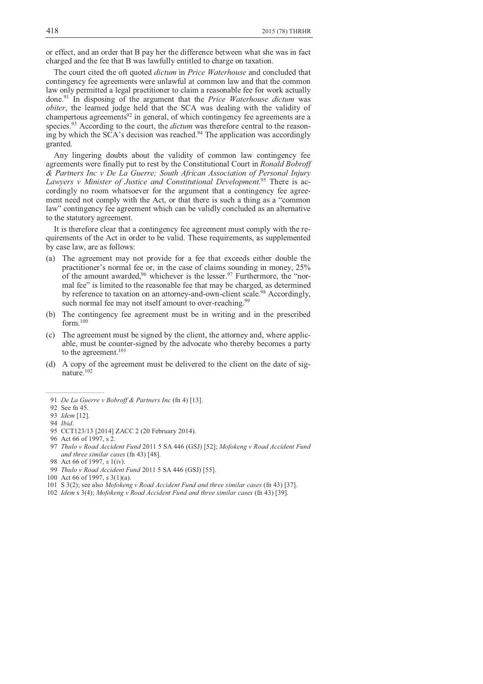or effect, and an order that B pay her the difference between what she was in fact charged and the fee that B was lawfully entitled to charge on taxation.

The court cited the oft quoted *dictum* in *Price Waterhouse* and concluded that contingency fee agreements were unlawful at common law and that the common law only permitted a legal practitioner to claim a reasonable fee for work actually done.<sup>91</sup> In disposing of the argument that the *Price Waterhouse dictum* was *obiter*, the learned judge held that the SCA was dealing with the validity of champertous agreements $92$  in general, of which contingency fee agreements are a species.93 According to the court, the *dictum* was therefore central to the reasoning by which the SCA's decision was reached.<sup>94</sup> The application was accordingly granted.

Any lingering doubts about the validity of common law contingency fee agreements were finally put to rest by the Constitutional Court in *Ronald Bobroff & Partners Inc v De La Guerre; South African Association of Personal Injury Lawyers v Minister of Justice and Constitutional Development.*95 There is accordingly no room whatsoever for the argument that a contingency fee agreement need not comply with the Act, or that there is such a thing as a "common law" contingency fee agreement which can be validly concluded as an alternative to the statutory agreement.

It is therefore clear that a contingency fee agreement must comply with the requirements of the Act in order to be valid. These requirements, as supplemented by case law, are as follows:

- (a) The agreement may not provide for a fee that exceeds either double the practitioner's normal fee or, in the case of claims sounding in money, 25% of the amount awarded,  $96$  whichever is the lesser.  $97$  Furthermore, the "normal fee" is limited to the reasonable fee that may be charged, as determined by reference to taxation on an attorney-and-own-client scale.<sup>98</sup> Accordingly, such normal fee may not itself amount to over-reaching.<sup>99</sup>
- (b) The contingency fee agreement must be in writing and in the prescribed form.<sup>100</sup>
- (c) The agreement must be signed by the client, the attorney and, where applicable, must be counter-signed by the advocate who thereby becomes a party to the agreement.<sup>101</sup>
- (d) A copy of the agreement must be delivered to the client on the date of signature.<sup>102</sup>

92 See fn 45.

- 95 CCT123/13 [2014] ZACC 2 (20 February 2014).
- 96 Act 66 of 1997, s 2.
- 97 *Thulo v Road Accident Fund* 2011 5 SA 446 (GSJ) [52]; *Mofokeng v Road Accident Fund and three similar cases* (fn 43) [48].
- 98 Act 66 of 1997, s 1(iv).
- 99 *Thulo v Road Accident Fund* 2011 5 SA 446 (GSJ) [55].
- 100 Act 66 of 1997, s 3(1)(a).
- 101 S 3(2); see also *Mofokeng v Road Accident Fund and three similar cases* (fn 43) [37].
- 102 *Idem* s 3(4); *Mofokeng v Road Accident Fund and three similar cases* (fn 43) [39].

 <sup>91</sup> *De La Guerre v Bobroff & Partners Inc* (fn 4) [13].

 <sup>93</sup> *Idem* [12].

 <sup>94</sup> *Ibid*.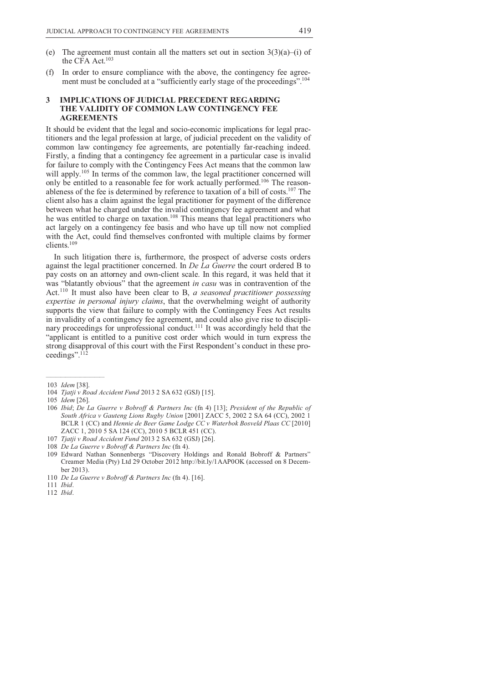- (e) The agreement must contain all the matters set out in section  $3(3)(a)$ –(i) of the CFA Act.<sup>103</sup>
- (f) In order to ensure compliance with the above, the contingency fee agreement must be concluded at a "sufficiently early stage of the proceedings".<sup>104</sup>

### **3 IMPLICATIONS OF JUDICIAL PRECEDENT REGARDING THE VALIDITY OF COMMON LAW CONTINGENCY FEE AGREEMENTS**

It should be evident that the legal and socio-economic implications for legal practitioners and the legal profession at large, of judicial precedent on the validity of common law contingency fee agreements, are potentially far-reaching indeed. Firstly, a finding that a contingency fee agreement in a particular case is invalid for failure to comply with the Contingency Fees Act means that the common law will apply.<sup>105</sup> In terms of the common law, the legal practitioner concerned will only be entitled to a reasonable fee for work actually performed.106 The reasonableness of the fee is determined by reference to taxation of a bill of costs.<sup>107</sup> The client also has a claim against the legal practitioner for payment of the difference between what he charged under the invalid contingency fee agreement and what he was entitled to charge on taxation.<sup>108</sup> This means that legal practitioners who act largely on a contingency fee basis and who have up till now not complied with the Act, could find themselves confronted with multiple claims by former clients.<sup>109</sup>

In such litigation there is, furthermore, the prospect of adverse costs orders against the legal practitioner concerned. In *De La Guerre* the court ordered B to pay costs on an attorney and own-client scale. In this regard, it was held that it was "blatantly obvious" that the agreement *in casu* was in contravention of the Act.<sup>110</sup> It must also have been clear to B, *a seasoned practitioner possessing expertise in personal injury claims*, that the overwhelming weight of authority supports the view that failure to comply with the Contingency Fees Act results in invalidity of a contingency fee agreement, and could also give rise to disciplinary proceedings for unprofessional conduct.<sup>111</sup> It was accordingly held that the "applicant is entitled to a punitive cost order which would in turn express the strong disapproval of this court with the First Respondent's conduct in these proceedings".<sup>112</sup>

 $\mathcal{L}_\text{max}$  and  $\mathcal{L}_\text{max}$  and  $\mathcal{L}_\text{max}$ 

107 *Tjatji v Road Accident Fund* 2013 2 SA 632 (GSJ) [26].

111 *Ibid*.

 <sup>103</sup> *Idem* [38].

 <sup>104</sup> *Tjatji v Road Accident Fund* 2013 2 SA 632 (GSJ) [15].

 <sup>105</sup> *Idem* [26].

 <sup>106</sup> *Ibid*; *De La Guerre v Bobroff & Partners Inc* (fn 4) [13]; *President of the Republic of South Africa v Gauteng Lions Rugby Union* [2001] ZACC 5, 2002 2 SA 64 (CC), 2002 1 BCLR 1 (CC) and *Hennie de Beer Game Lodge CC v Waterbok Bosveld Plaas CC* [2010] ZACC 1, 2010 5 SA 124 (CC), 2010 5 BCLR 451 (CC).

 <sup>108</sup> *De La Guerre v Bobroff & Partners Inc* (fn 4).

 <sup>109</sup> Edward Nathan Sonnenbergs "Discovery Holdings and Ronald Bobroff & Partners" Creamer Media (Pty) Ltd 29 October 2012 http://bit.ly/1AAP0OK (accessed on 8 December 2013).

 <sup>110</sup> *De La Guerre v Bobroff & Partners Inc* (fn 4). [16].

 <sup>112</sup> *Ibid*.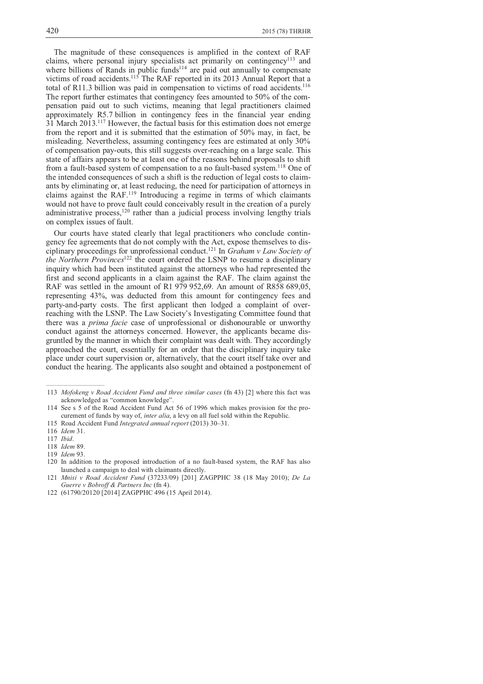The magnitude of these consequences is amplified in the context of RAF claims, where personal injury specialists act primarily on contingency<sup>113</sup> and where billions of Rands in public funds<sup> $114$ </sup> are paid out annually to compensate victims of road accidents.<sup>115</sup> The RAF reported in its 2013 Annual Report that a total of R11.3 billion was paid in compensation to victims of road accidents.<sup>116</sup> The report further estimates that contingency fees amounted to 50% of the compensation paid out to such victims, meaning that legal practitioners claimed approximately R5.7 billion in contingency fees in the financial year ending 31 March 2013.<sup>117</sup> However, the factual basis for this estimation does not emerge from the report and it is submitted that the estimation of 50% may, in fact, be misleading. Nevertheless, assuming contingency fees are estimated at only 30% of compensation pay-outs, this still suggests over-reaching on a large scale. This state of affairs appears to be at least one of the reasons behind proposals to shift from a fault-based system of compensation to a no fault-based system.<sup>118</sup> One of the intended consequences of such a shift is the reduction of legal costs to claimants by eliminating or, at least reducing, the need for participation of attorneys in claims against the RAF.<sup>119</sup> Introducing a regime in terms of which claimants would not have to prove fault could conceivably result in the creation of a purely administrative process, $120$  rather than a judicial process involving lengthy trials on complex issues of fault.

Our courts have stated clearly that legal practitioners who conclude contingency fee agreements that do not comply with the Act, expose themselves to disciplinary proceedings for unprofessional conduct.<sup>121</sup> In *Graham v Law Society of the Northern Provinces*<sup>122</sup> the court ordered the LSNP to resume a disciplinary inquiry which had been instituted against the attorneys who had represented the first and second applicants in a claim against the RAF. The claim against the RAF was settled in the amount of R1 979 952,69. An amount of R858 689,05, representing 43%, was deducted from this amount for contingency fees and party-and-party costs. The first applicant then lodged a complaint of overreaching with the LSNP. The Law Society's Investigating Committee found that there was a *prima facie* case of unprofessional or dishonourable or unworthy conduct against the attorneys concerned. However, the applicants became disgruntled by the manner in which their complaint was dealt with. They accordingly approached the court, essentially for an order that the disciplinary inquiry take place under court supervision or, alternatively, that the court itself take over and conduct the hearing. The applicants also sought and obtained a postponement of

 <sup>113</sup> *Mofokeng v Road Accident Fund and three similar cases* (fn 43) [2] where this fact was acknowledged as "common knowledge".

 <sup>114</sup> See s 5 of the Road Accident Fund Act 56 of 1996 which makes provision for the procurement of funds by way of, *inter alia*, a levy on all fuel sold within the Republic.

 <sup>115</sup> Road Accident Fund *Integrated annual report* (2013) 30–31.

 <sup>116</sup> *Idem* 31.

 <sup>117</sup> *Ibid*.

 <sup>118</sup> *Idem* 89.

 <sup>119</sup> *Idem* 93.

 <sup>120</sup> In addition to the proposed introduction of a no fault-based system, the RAF has also launched a campaign to deal with claimants directly.

 <sup>121</sup> *Mnisi v Road Accident Fund* (37233/09) [201] ZAGPPHC 38 (18 May 2010); *De La Guerre v Bobroff & Partners Inc* (fn 4).

 <sup>122 (61790/20120 [2014]</sup> ZAGPPHC 496 (15 April 2014).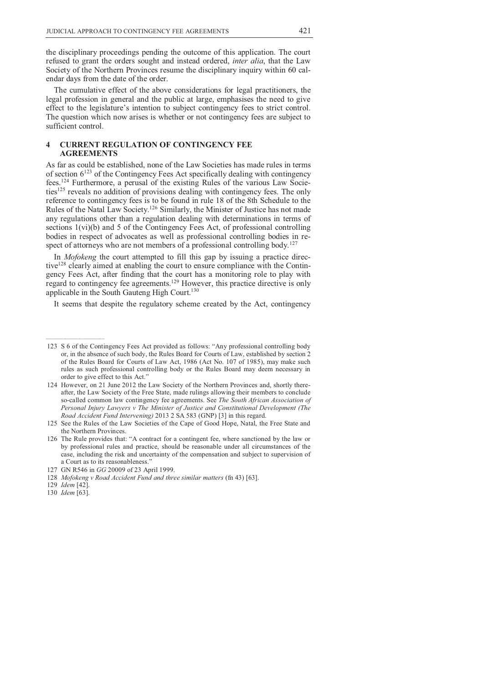the disciplinary proceedings pending the outcome of this application. The court refused to grant the orders sought and instead ordered, *inter alia*, that the Law Society of the Northern Provinces resume the disciplinary inquiry within 60 calendar days from the date of the order.

The cumulative effect of the above considerations for legal practitioners, the legal profession in general and the public at large, emphasises the need to give effect to the legislature's intention to subject contingency fees to strict control. The question which now arises is whether or not contingency fees are subject to sufficient control.

# **4 CURRENT REGULATION OF CONTINGENCY FEE AGREEMENTS**

As far as could be established, none of the Law Societies has made rules in terms of section  $6^{123}$  of the Contingency Fees Act specifically dealing with contingency fees.124 Furthermore, a perusal of the existing Rules of the various Law Societies<sup>125</sup> reveals no addition of provisions dealing with contingency fees. The only reference to contingency fees is to be found in rule 18 of the 8th Schedule to the Rules of the Natal Law Society.<sup>126</sup> Similarly, the Minister of Justice has not made any regulations other than a regulation dealing with determinations in terms of sections 1(vi)(b) and 5 of the Contingency Fees Act, of professional controlling bodies in respect of advocates as well as professional controlling bodies in respect of attorneys who are not members of a professional controlling body.<sup>127</sup>

In *Mofokeng* the court attempted to fill this gap by issuing a practice directive<sup>128</sup> clearly aimed at enabling the court to ensure compliance with the Contingency Fees Act, after finding that the court has a monitoring role to play with regard to contingency fee agreements.<sup>129</sup> However, this practice directive is only applicable in the South Gauteng High Court.<sup>130</sup>

It seems that despite the regulatory scheme created by the Act, contingency

 <sup>123</sup> S 6 of the Contingency Fees Act provided as follows: "Any professional controlling body or, in the absence of such body, the Rules Board for Courts of Law, established by section 2 of the Rules Board for Courts of Law Act, 1986 (Act No. 107 of 1985), may make such rules as such professional controlling body or the Rules Board may deem necessary in order to give effect to this Act."

 <sup>124</sup> However, on 21 June 2012 the Law Society of the Northern Provinces and, shortly thereafter, the Law Society of the Free State, made rulings allowing their members to conclude so-called common law contingency fee agreements. See *The South African Association of Personal Injury Lawyers v The Minister of Justice and Constitutional Development (The Road Accident Fund Intervening)* 2013 2 SA 583 (GNP) [3] in this regard.

 <sup>125</sup> See the Rules of the Law Societies of the Cape of Good Hope, Natal, the Free State and the Northern Provinces.

 <sup>126</sup> The Rule provides that: "A contract for a contingent fee, where sanctioned by the law or by professional rules and practice, should be reasonable under all circumstances of the case, including the risk and uncertainty of the compensation and subject to supervision of a Court as to its reasonableness."

 <sup>127</sup> GN R546 in *GG* 20009 of 23 April 1999.

 <sup>128</sup> *Mofokeng v Road Accident Fund and three similar matters* (fn 43) [63].

 <sup>129</sup> *Idem* [42].

 <sup>130</sup> *Idem* [63].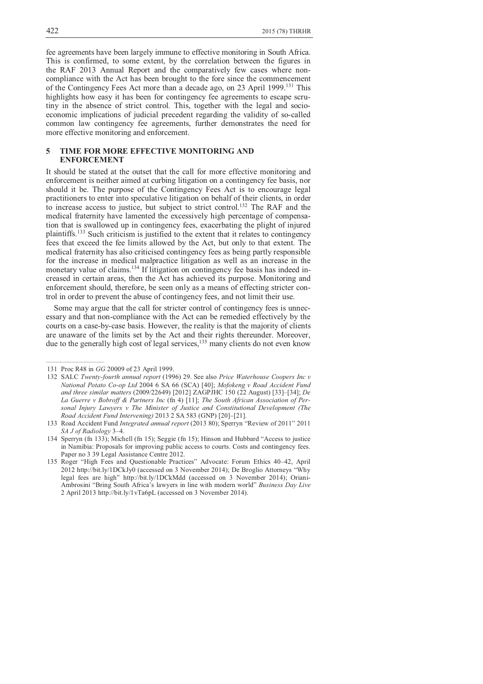fee agreements have been largely immune to effective monitoring in South Africa. This is confirmed, to some extent, by the correlation between the figures in the RAF 2013 Annual Report and the comparatively few cases where noncompliance with the Act has been brought to the fore since the commencement of the Contingency Fees Act more than a decade ago, on 23 April 1999.<sup>131</sup> This highlights how easy it has been for contingency fee agreements to escape scrutiny in the absence of strict control. This, together with the legal and socioeconomic implications of judicial precedent regarding the validity of so-called common law contingency fee agreements, further demonstrates the need for more effective monitoring and enforcement.

## **5 TIME FOR MORE EFFECTIVE MONITORING AND ENFORCEMENT**

It should be stated at the outset that the call for more effective monitoring and enforcement is neither aimed at curbing litigation on a contingency fee basis, nor should it be. The purpose of the Contingency Fees Act is to encourage legal practitioners to enter into speculative litigation on behalf of their clients, in order to increase access to justice, but subject to strict control.<sup>132</sup> The RAF and the medical fraternity have lamented the excessively high percentage of compensation that is swallowed up in contingency fees, exacerbating the plight of injured plaintiffs.<sup>133</sup> Such criticism is justified to the extent that it relates to contingency fees that exceed the fee limits allowed by the Act, but only to that extent. The medical fraternity has also criticised contingency fees as being partly responsible for the increase in medical malpractice litigation as well as an increase in the monetary value of claims.<sup>134</sup> If litigation on contingency fee basis has indeed increased in certain areas, then the Act has achieved its purpose. Monitoring and enforcement should, therefore, be seen only as a means of effecting stricter control in order to prevent the abuse of contingency fees, and not limit their use.

Some may argue that the call for stricter control of contingency fees is unnecessary and that non-compliance with the Act can be remedied effectively by the courts on a case-by-case basis. However, the reality is that the majority of clients are unaware of the limits set by the Act and their rights thereunder. Moreover, due to the generally high cost of legal services,<sup>135</sup> many clients do not even know

 <sup>131</sup> Proc R48 in *GG* 20009 of 23 April 1999.

 <sup>132</sup> SALC *Twenty-fourth annual report* (1996) 29. See also *Price Waterhouse Coopers Inc v National Potato Co-op Ltd* 2004 6 SA 66 (SCA) [40]; *Mofokeng v Road Accident Fund and three similar matters* (2009/22649) [2012] ZAGPJHC 150 (22 August) [33]–[34]; *De La Guerre v Bobroff & Partners Inc* (fn 4) [11]; *The South African Association of Personal Injury Lawyers v The Minister of Justice and Constitutional Development (The Road Accident Fund Intervening)* 2013 2 SA 583 (GNP) [20]–[21].

 <sup>133</sup> Road Accident Fund *Integrated annual report* (2013 80); Sperryn "Review of 2011" 2011 *SA J of Radiology* 3–4.

 <sup>134</sup> Sperryn (fn 133); Michell (fn 15); Seggie (fn 15); Hinson and Hubbard "Access to justice in Namibia: Proposals for improving public access to courts. Costs and contingency fees. Paper no 3 39 Legal Assistance Centre 2012.

 <sup>135</sup> Roger "High Fees and Questionable Practices" Advocate: Forum Ethics 40–42, April 2012 http://bit.ly/1DCkJy0 (accessed on 3 November 2014); De Broglio Attorneys "Why legal fees are high" http://bit.ly/1DCkMdd (accessed on 3 November 2014); Oriani-Ambrosini "Bring South Africa's lawyers in line with modern world" *Business Day Live* 2 April 2013 http://bit.ly/1vTa6pL (accessed on 3 November 2014).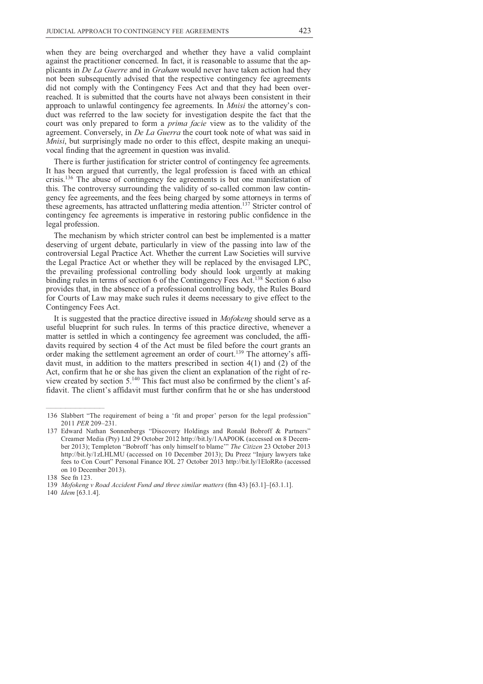when they are being overcharged and whether they have a valid complaint against the practitioner concerned. In fact, it is reasonable to assume that the applicants in *De La Guerre* and in *Graham* would never have taken action had they not been subsequently advised that the respective contingency fee agreements did not comply with the Contingency Fees Act and that they had been overreached. It is submitted that the courts have not always been consistent in their approach to unlawful contingency fee agreements. In *Mnisi* the attorney's conduct was referred to the law society for investigation despite the fact that the court was only prepared to form a *prima facie* view as to the validity of the agreement. Conversely, in *De La Guerra* the court took note of what was said in *Mnisi*, but surprisingly made no order to this effect, despite making an unequivocal finding that the agreement in question was invalid.

There is further justification for stricter control of contingency fee agreements. It has been argued that currently, the legal profession is faced with an ethical crisis.<sup>136</sup> The abuse of contingency fee agreements is but one manifestation of this. The controversy surrounding the validity of so-called common law contingency fee agreements, and the fees being charged by some attorneys in terms of these agreements, has attracted unflattering media attention.<sup>137</sup> Stricter control of contingency fee agreements is imperative in restoring public confidence in the legal profession.

The mechanism by which stricter control can best be implemented is a matter deserving of urgent debate, particularly in view of the passing into law of the controversial Legal Practice Act. Whether the current Law Societies will survive the Legal Practice Act or whether they will be replaced by the envisaged LPC, the prevailing professional controlling body should look urgently at making binding rules in terms of section 6 of the Contingency Fees Act.<sup>138</sup> Section 6 also provides that, in the absence of a professional controlling body, the Rules Board for Courts of Law may make such rules it deems necessary to give effect to the Contingency Fees Act.

It is suggested that the practice directive issued in *Mofokeng* should serve as a useful blueprint for such rules. In terms of this practice directive, whenever a matter is settled in which a contingency fee agreement was concluded, the affidavits required by section 4 of the Act must be filed before the court grants an order making the settlement agreement an order of court.<sup>139</sup> The attorney's affidavit must, in addition to the matters prescribed in section 4(1) and (2) of the Act, confirm that he or she has given the client an explanation of the right of review created by section 5.140 This fact must also be confirmed by the client's affidavit. The client's affidavit must further confirm that he or she has understood

 <sup>136</sup> Slabbert "The requirement of being a 'fit and proper' person for the legal profession" 2011 *PER* 209–231.

 <sup>137</sup> Edward Nathan Sonnenbergs "Discovery Holdings and Ronald Bobroff & Partners" Creamer Media (Pty) Ltd 29 October 2012 http://bit.ly/1AAP0OK (accessed on 8 December 2013); Templeton "Bobroff 'has only himself to blame'" *The Citizen* 23 October 2013 http://bit.ly/1zLHLMU (accessed on 10 December 2013); Du Preez "Injury lawyers take fees to Con Court" Personal Finance IOL 27 October 2013 http://bit.ly/1EloRRo (accessed on 10 December 2013).

 <sup>138</sup> See fn 123.

 <sup>139</sup> *Mofokeng v Road Accident Fund and three similar matters* (fnn 43) [63.1]–[63.1.1].

 <sup>140</sup> *Idem* [63.1.4].